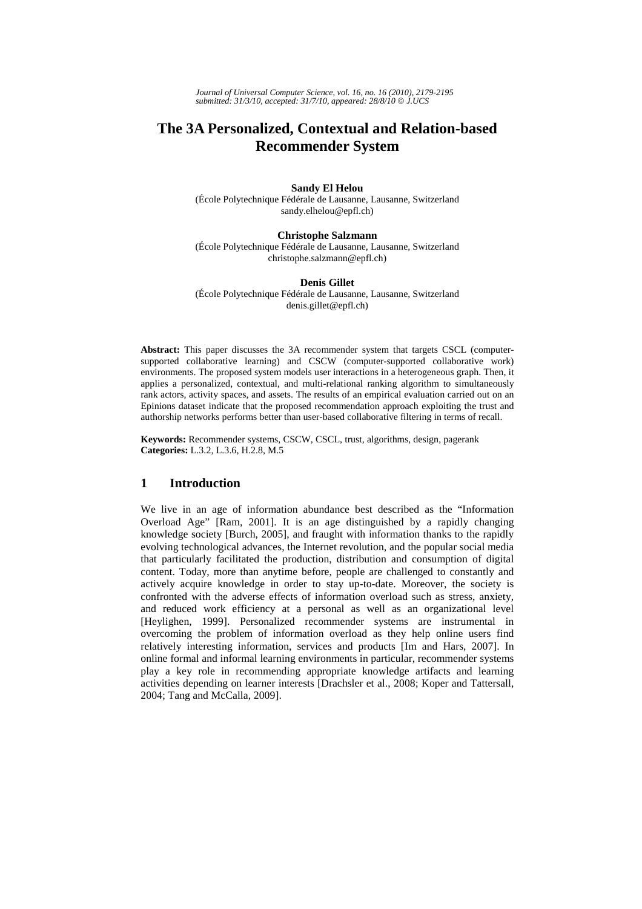*Journal of Universal Computer Science, vol. 16, no. 16 (2010), 2179-2195 submitted: 31/3/10, accepted: 31/7/10, appeared: 28/8/10* © *J.UCS*

# **The 3A Personalized, Contextual and Relation-based Recommender System**

### **Sandy El Helou**

(École Polytechnique Fédérale de Lausanne, Lausanne, Switzerland sandy.elhelou@epfl.ch)

### **Christophe Salzmann**

(École Polytechnique Fédérale de Lausanne, Lausanne, Switzerland christophe.salzmann@epfl.ch)

#### **Denis Gillet**

(École Polytechnique Fédérale de Lausanne, Lausanne, Switzerland denis.gillet@epfl.ch)

**Abstract:** This paper discusses the 3A recommender system that targets CSCL (computersupported collaborative learning) and CSCW (computer-supported collaborative work) environments. The proposed system models user interactions in a heterogeneous graph. Then, it applies a personalized, contextual, and multi-relational ranking algorithm to simultaneously rank actors, activity spaces, and assets. The results of an empirical evaluation carried out on an Epinions dataset indicate that the proposed recommendation approach exploiting the trust and authorship networks performs better than user-based collaborative filtering in terms of recall.

**Keywords:** Recommender systems, CSCW, CSCL, trust, algorithms, design, pagerank **Categories:** L.3.2, L.3.6, H.2.8, M.5

# **1 Introduction**

We live in an age of information abundance best described as the "Information Overload Age" [Ram, 2001]. It is an age distinguished by a rapidly changing knowledge society [Burch, 2005], and fraught with information thanks to the rapidly evolving technological advances, the Internet revolution, and the popular social media that particularly facilitated the production, distribution and consumption of digital content. Today, more than anytime before, people are challenged to constantly and actively acquire knowledge in order to stay up-to-date. Moreover, the society is confronted with the adverse effects of information overload such as stress, anxiety, and reduced work efficiency at a personal as well as an organizational level [Heylighen, 1999]. Personalized recommender systems are instrumental in overcoming the problem of information overload as they help online users find relatively interesting information, services and products [Im and Hars, 2007]. In online formal and informal learning environments in particular, recommender systems play a key role in recommending appropriate knowledge artifacts and learning activities depending on learner interests [Drachsler et al., 2008; Koper and Tattersall, 2004; Tang and McCalla, 2009].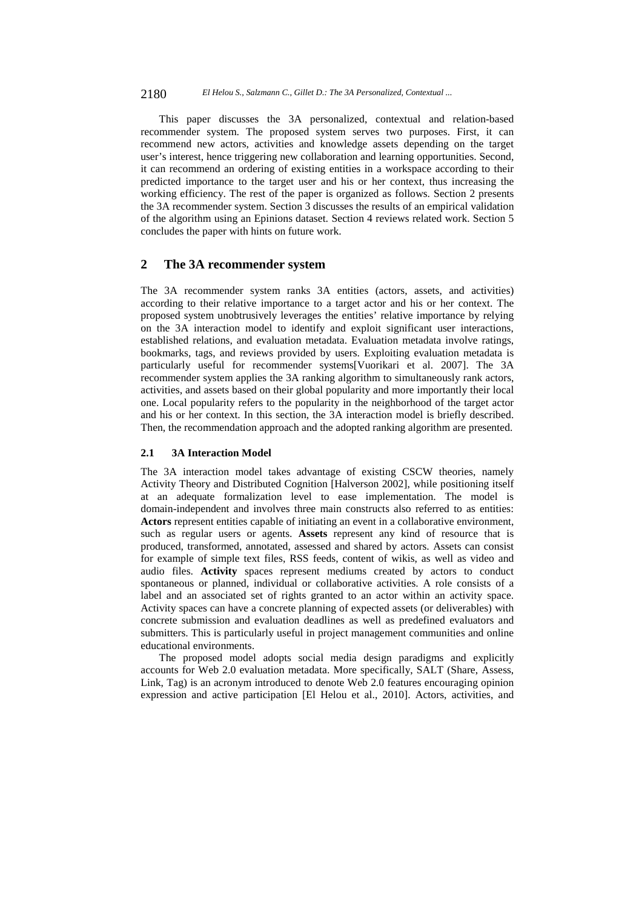This paper discusses the 3A personalized, contextual and relation-based recommender system. The proposed system serves two purposes. First, it can recommend new actors, activities and knowledge assets depending on the target user's interest, hence triggering new collaboration and learning opportunities. Second, it can recommend an ordering of existing entities in a workspace according to their predicted importance to the target user and his or her context, thus increasing the working efficiency. The rest of the paper is organized as follows. Section 2 presents the 3A recommender system. Section 3 discusses the results of an empirical validation of the algorithm using an Epinions dataset. Section 4 reviews related work. Section 5 concludes the paper with hints on future work.

# **2 The 3A recommender system**

The 3A recommender system ranks 3A entities (actors, assets, and activities) according to their relative importance to a target actor and his or her context. The proposed system unobtrusively leverages the entities' relative importance by relying on the 3A interaction model to identify and exploit significant user interactions, established relations, and evaluation metadata. Evaluation metadata involve ratings, bookmarks, tags, and reviews provided by users. Exploiting evaluation metadata is particularly useful for recommender systems[Vuorikari et al. 2007]. The 3A recommender system applies the 3A ranking algorithm to simultaneously rank actors, activities, and assets based on their global popularity and more importantly their local one. Local popularity refers to the popularity in the neighborhood of the target actor and his or her context. In this section, the 3A interaction model is briefly described. Then, the recommendation approach and the adopted ranking algorithm are presented.

### **2.1 3A Interaction Model**

The 3A interaction model takes advantage of existing CSCW theories, namely Activity Theory and Distributed Cognition [Halverson 2002], while positioning itself at an adequate formalization level to ease implementation. The model is domain-independent and involves three main constructs also referred to as entities: **Actors** represent entities capable of initiating an event in a collaborative environment, such as regular users or agents. **Assets** represent any kind of resource that is produced, transformed, annotated, assessed and shared by actors. Assets can consist for example of simple text files, RSS feeds, content of wikis, as well as video and audio files. **Activity** spaces represent mediums created by actors to conduct spontaneous or planned, individual or collaborative activities. A role consists of a label and an associated set of rights granted to an actor within an activity space. Activity spaces can have a concrete planning of expected assets (or deliverables) with concrete submission and evaluation deadlines as well as predefined evaluators and submitters. This is particularly useful in project management communities and online educational environments.

The proposed model adopts social media design paradigms and explicitly accounts for Web 2.0 evaluation metadata. More specifically, SALT (Share, Assess, Link, Tag) is an acronym introduced to denote Web 2.0 features encouraging opinion expression and active participation [El Helou et al., 2010]. Actors, activities, and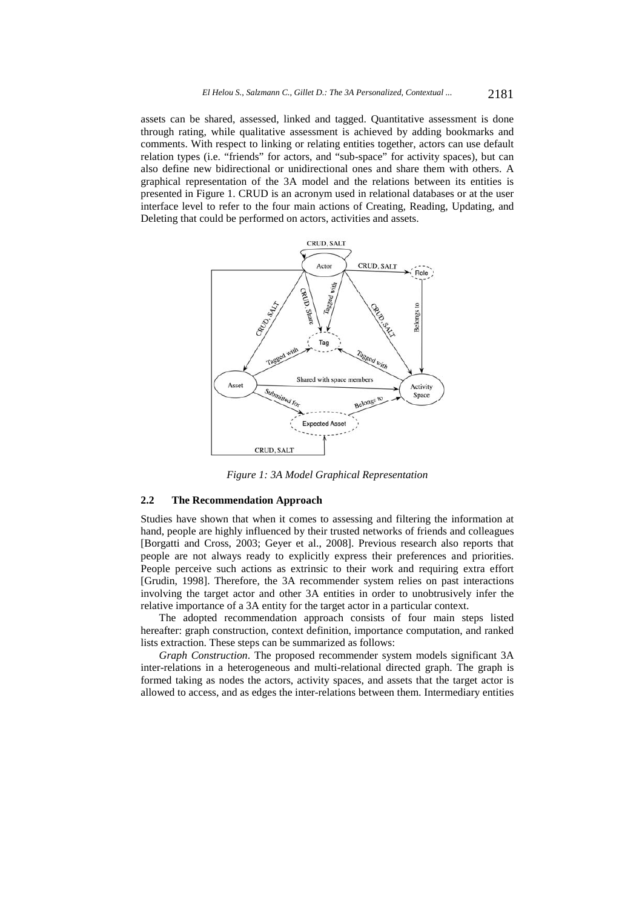assets can be shared, assessed, linked and tagged. Quantitative assessment is done through rating, while qualitative assessment is achieved by adding bookmarks and comments. With respect to linking or relating entities together, actors can use default relation types (i.e. "friends" for actors, and "sub-space" for activity spaces), but can also define new bidirectional or unidirectional ones and share them with others. A graphical representation of the 3A model and the relations between its entities is presented in Figure 1. CRUD is an acronym used in relational databases or at the user interface level to refer to the four main actions of Creating, Reading, Updating, and Deleting that could be performed on actors, activities and assets.



*Figure 1: 3A Model Graphical Representation* 

#### **2.2 The Recommendation Approach**

Studies have shown that when it comes to assessing and filtering the information at hand, people are highly influenced by their trusted networks of friends and colleagues [Borgatti and Cross, 2003; Geyer et al., 2008]. Previous research also reports that people are not always ready to explicitly express their preferences and priorities. People perceive such actions as extrinsic to their work and requiring extra effort [Grudin, 1998]. Therefore, the 3A recommender system relies on past interactions involving the target actor and other 3A entities in order to unobtrusively infer the relative importance of a 3A entity for the target actor in a particular context.

The adopted recommendation approach consists of four main steps listed hereafter: graph construction, context definition, importance computation, and ranked lists extraction. These steps can be summarized as follows:

*Graph Construction*. The proposed recommender system models significant 3A inter-relations in a heterogeneous and multi-relational directed graph. The graph is formed taking as nodes the actors, activity spaces, and assets that the target actor is allowed to access, and as edges the inter-relations between them. Intermediary entities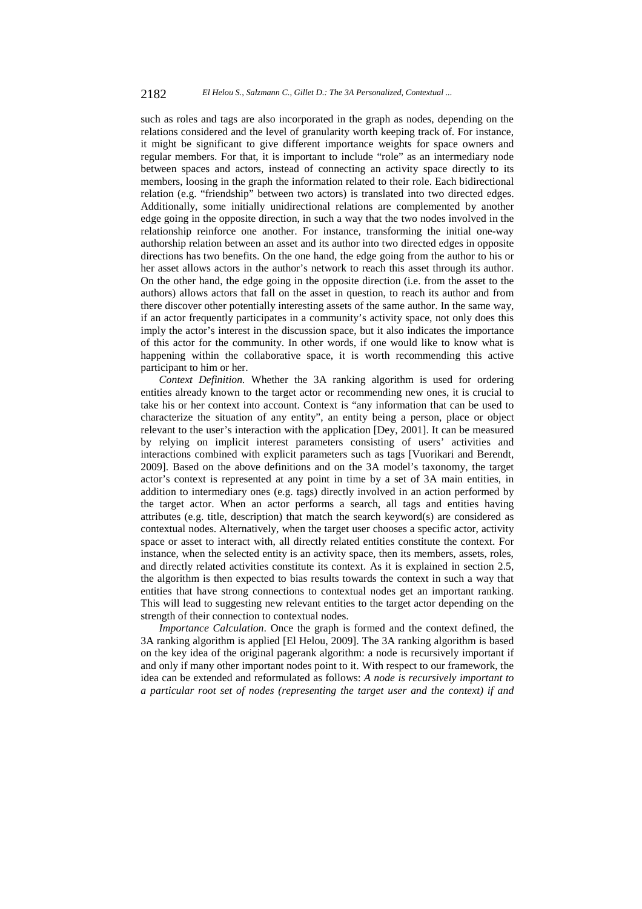such as roles and tags are also incorporated in the graph as nodes, depending on the relations considered and the level of granularity worth keeping track of. For instance, it might be significant to give different importance weights for space owners and regular members. For that, it is important to include "role" as an intermediary node between spaces and actors, instead of connecting an activity space directly to its members, loosing in the graph the information related to their role. Each bidirectional relation (e.g. "friendship" between two actors) is translated into two directed edges. Additionally, some initially unidirectional relations are complemented by another edge going in the opposite direction, in such a way that the two nodes involved in the relationship reinforce one another. For instance, transforming the initial one-way authorship relation between an asset and its author into two directed edges in opposite directions has two benefits. On the one hand, the edge going from the author to his or her asset allows actors in the author's network to reach this asset through its author. On the other hand, the edge going in the opposite direction (i.e. from the asset to the authors) allows actors that fall on the asset in question, to reach its author and from there discover other potentially interesting assets of the same author. In the same way, if an actor frequently participates in a community's activity space, not only does this imply the actor's interest in the discussion space, but it also indicates the importance of this actor for the community. In other words, if one would like to know what is happening within the collaborative space, it is worth recommending this active participant to him or her.

*Context Definition.* Whether the 3A ranking algorithm is used for ordering entities already known to the target actor or recommending new ones, it is crucial to take his or her context into account. Context is "any information that can be used to characterize the situation of any entity", an entity being a person, place or object relevant to the user's interaction with the application [Dey, 2001]. It can be measured by relying on implicit interest parameters consisting of users' activities and interactions combined with explicit parameters such as tags [Vuorikari and Berendt, 2009]. Based on the above definitions and on the 3A model's taxonomy, the target actor's context is represented at any point in time by a set of 3A main entities, in addition to intermediary ones (e.g. tags) directly involved in an action performed by the target actor. When an actor performs a search, all tags and entities having attributes (e.g. title, description) that match the search keyword(s) are considered as contextual nodes. Alternatively, when the target user chooses a specific actor, activity space or asset to interact with, all directly related entities constitute the context. For instance, when the selected entity is an activity space, then its members, assets, roles, and directly related activities constitute its context. As it is explained in section 2.5, the algorithm is then expected to bias results towards the context in such a way that entities that have strong connections to contextual nodes get an important ranking. This will lead to suggesting new relevant entities to the target actor depending on the strength of their connection to contextual nodes.

*Importance Calculation*. Once the graph is formed and the context defined, the 3A ranking algorithm is applied [El Helou, 2009]. The 3A ranking algorithm is based on the key idea of the original pagerank algorithm: a node is recursively important if and only if many other important nodes point to it. With respect to our framework, the idea can be extended and reformulated as follows: *A node is recursively important to a particular root set of nodes (representing the target user and the context) if and*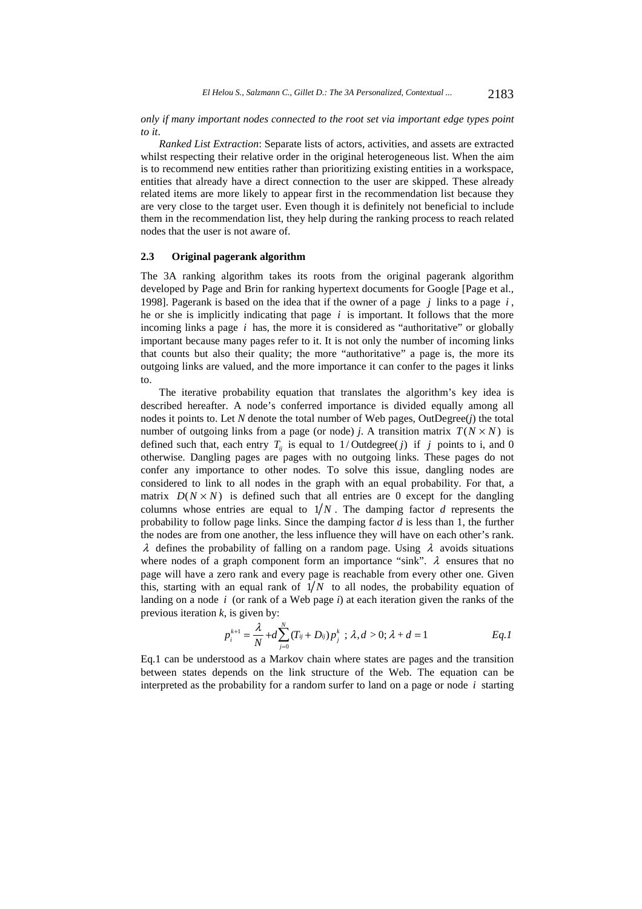#### *only if many important nodes connected to the root set via important edge types point to it*.

*Ranked List Extraction*: Separate lists of actors, activities, and assets are extracted whilst respecting their relative order in the original heterogeneous list. When the aim is to recommend new entities rather than prioritizing existing entities in a workspace, entities that already have a direct connection to the user are skipped. These already related items are more likely to appear first in the recommendation list because they are very close to the target user. Even though it is definitely not beneficial to include them in the recommendation list, they help during the ranking process to reach related nodes that the user is not aware of.

#### **2.3 Original pagerank algorithm**

The 3A ranking algorithm takes its roots from the original pagerank algorithm developed by Page and Brin for ranking hypertext documents for Google [Page et al., 1998]. Pagerank is based on the idea that if the owner of a page *j* links to a page *i* , he or she is implicitly indicating that page *i* is important. It follows that the more incoming links a page *i* has, the more it is considered as "authoritative" or globally important because many pages refer to it. It is not only the number of incoming links that counts but also their quality; the more "authoritative" a page is, the more its outgoing links are valued, and the more importance it can confer to the pages it links to.

The iterative probability equation that translates the algorithm's key idea is described hereafter. A node's conferred importance is divided equally among all nodes it points to. Let *N* denote the total number of Web pages, OutDegree(*j*) the total number of outgoing links from a page (or node) *j*. A transition matrix  $T(N \times N)$  is defined such that, each entry  $T_i$  is equal to 1/Outdegree( *j*) if *j* points to i, and 0 otherwise. Dangling pages are pages with no outgoing links. These pages do not confer any importance to other nodes. To solve this issue, dangling nodes are considered to link to all nodes in the graph with an equal probability. For that, a matrix  $D(N \times N)$  is defined such that all entries are 0 except for the dangling columns whose entries are equal to  $1/N$ . The damping factor *d* represents the probability to follow page links. Since the damping factor *d* is less than 1, the further the nodes are from one another, the less influence they will have on each other's rank.  $\lambda$  defines the probability of falling on a random page. Using  $\lambda$  avoids situations where nodes of a graph component form an importance "sink".  $\lambda$  ensures that no page will have a zero rank and every page is reachable from every other one. Given this, starting with an equal rank of  $1/N$  to all nodes, the probability equation of landing on a node *i* (or rank of a Web page *i*) at each iteration given the ranks of the previous iteration *k*, is given by:

$$
p_i^{k+1} = \frac{\lambda}{N} + d \sum_{j=0}^{N} (T_{ij} + D_{ij}) p_j^k \, ; \, \lambda, d > 0; \, \lambda + d = 1 \qquad \qquad Eq.1
$$

Eq.1 can be understood as a Markov chain where states are pages and the transition between states depends on the link structure of the Web. The equation can be interpreted as the probability for a random surfer to land on a page or node *i* starting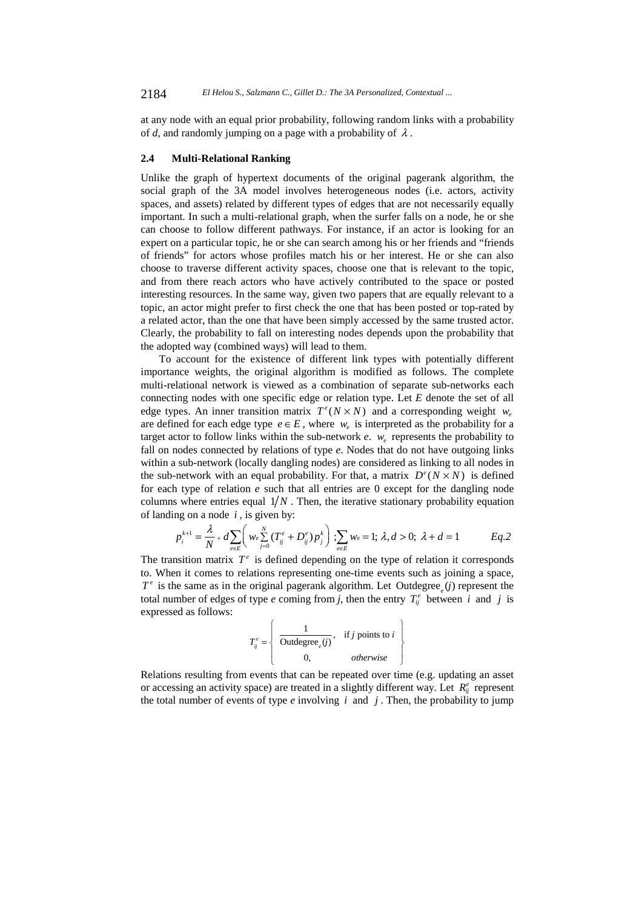at any node with an equal prior probability, following random links with a probability of *d*, and randomly jumping on a page with a probability of  $\lambda$ .

### **2.4 Multi-Relational Ranking**

Unlike the graph of hypertext documents of the original pagerank algorithm, the social graph of the 3A model involves heterogeneous nodes (i.e. actors, activity spaces, and assets) related by different types of edges that are not necessarily equally important. In such a multi-relational graph, when the surfer falls on a node, he or she can choose to follow different pathways. For instance, if an actor is looking for an expert on a particular topic, he or she can search among his or her friends and "friends of friends" for actors whose profiles match his or her interest. He or she can also choose to traverse different activity spaces, choose one that is relevant to the topic, and from there reach actors who have actively contributed to the space or posted interesting resources. In the same way, given two papers that are equally relevant to a topic, an actor might prefer to first check the one that has been posted or top-rated by a related actor, than the one that have been simply accessed by the same trusted actor. Clearly, the probability to fall on interesting nodes depends upon the probability that the adopted way (combined ways) will lead to them.

To account for the existence of different link types with potentially different importance weights, the original algorithm is modified as follows. The complete multi-relational network is viewed as a combination of separate sub-networks each connecting nodes with one specific edge or relation type. Let *E* denote the set of all edge types. An inner transition matrix  $T^e(N \times N)$  and a corresponding weight  $w_e$ are defined for each edge type  $e \in E$ , where  $w_e$  is interpreted as the probability for a target actor to follow links within the sub-network  $e$ .  $w_e$  represents the probability to fall on nodes connected by relations of type *e*. Nodes that do not have outgoing links within a sub-network (locally dangling nodes) are considered as linking to all nodes in the sub-network with an equal probability. For that, a matrix  $D^e(N \times N)$  is defined for each type of relation *e* such that all entries are 0 except for the dangling node columns where entries equal  $1/N$ . Then, the iterative stationary probability equation of landing on a node *i ,* is given by:

$$
p_i^{k+1} = \frac{\lambda}{N} + d \sum_{e \in E} \left( w_e \sum_{j=0}^N (T_{ij}^e + D_{ij}^e) p_j^k \right); \sum_{e \in E} w_e = 1; \lambda, d > 0; \lambda + d = 1
$$
 Eq.2

 to. When it comes to relations representing one-time events such as joining a space, The transition matrix  $T^e$  is defined depending on the type of relation it corresponds  $T<sup>e</sup>$  is the same as in the original pagerank algorithm. Let Outdegree<sub>*(i)*</sub> represent the total number of edges of type *e* coming from *j*, then the entry  $T_{ij}^e$  between *i* and *j* is expressed as follows:

$$
T_{ij}^{e} = \left\{ \begin{array}{c} 1 \\ \hline \text{Outdegree}_{e}(j), & \text{if } j \text{ points to } i \\ 0, & \text{otherwise} \end{array} \right\}
$$

Relations resulting from events that can be repeated over time (e.g. updating an asset or accessing an activity space) are treated in a slightly different way. Let  $R_{ij}^e$  represent the total number of events of type *e* involving *i* and *j* . Then, the probability to jump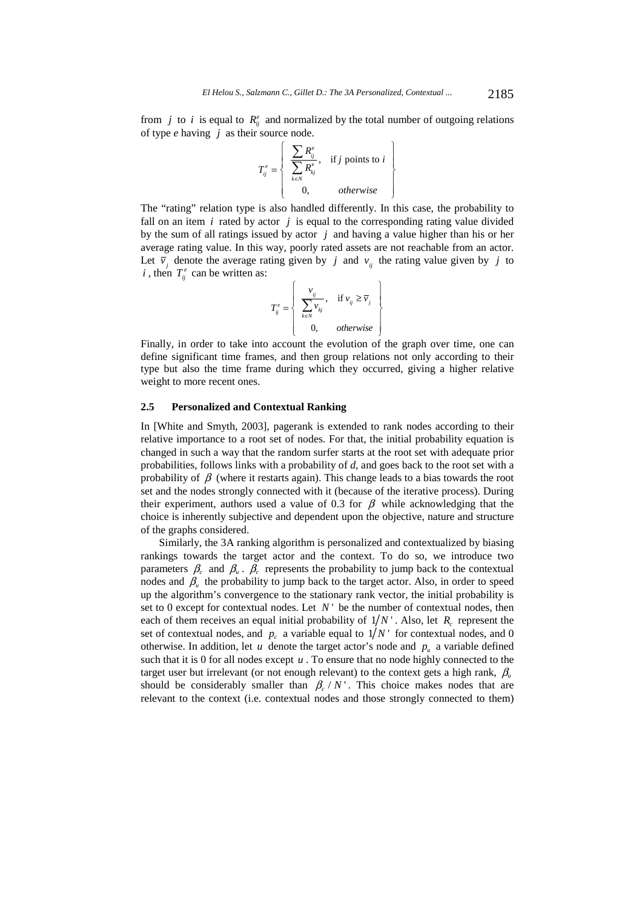from *j* to *i* is equal to  $R_{ij}^e$  and normalized by the total number of outgoing relations of type *e* having *j* as their source node.

$$
T_{ij}^{e} = \left\{ \begin{array}{c} \sum R_{ij}^{e} \\ \sum R_{kj}^{e} \\ 0, \qquad otherwise \end{array} \right\}
$$

The "rating" relation type is also handled differently. In this case, the probability to fall on an item  $i$  rated by actor  $j$  is equal to the corresponding rating value divided by the sum of all ratings issued by actor *j* and having a value higher than his or her average rating value. In this way, poorly rated assets are not reachable from an actor. Let  $\overline{v}_i$  denote the average rating given by *j* and  $v_{ij}$  the rating value given by *j* to *i*, then  $T_{ij}^e$  can be written as:

$$
T_{ij}^{e} = \begin{cases} \n\frac{v_{ij}}{\sum_{k \in N} v_{kj}}, & \text{if } v_{ij} \ge \overline{v}_{j} \\
0, & \text{otherwise}\n\end{cases}
$$

Finally, in order to take into account the evolution of the graph over time, one can define significant time frames, and then group relations not only according to their type but also the time frame during which they occurred, giving a higher relative weight to more recent ones.

### **2.5 Personalized and Contextual Ranking**

In [White and Smyth, 2003], pagerank is extended to rank nodes according to their relative importance to a root set of nodes. For that, the initial probability equation is changed in such a way that the random surfer starts at the root set with adequate prior probabilities, follows links with a probability of *d*, and goes back to the root set with a probability of  $\beta$  (where it restarts again). This change leads to a bias towards the root set and the nodes strongly connected with it (because of the iterative process). During their experiment, authors used a value of 0.3 for  $\beta$  while acknowledging that the choice is inherently subjective and dependent upon the objective, nature and structure of the graphs considered.

Similarly, the 3A ranking algorithm is personalized and contextualized by biasing rankings towards the target actor and the context. To do so, we introduce two parameters  $\beta_c$  and  $\beta_u$ .  $\beta_c$  represents the probability to jump back to the contextual nodes and  $\beta$ <sub>*u*</sub> the probability to jump back to the target actor. Also, in order to speed up the algorithm's convergence to the stationary rank vector, the initial probability is set to 0 except for contextual nodes. Let  $N'$  be the number of contextual nodes, then each of them receives an equal initial probability of  $1/N$ . Also, let *R<sub>c</sub>* represent the set of contextual nodes, and  $p_c$  a variable equal to  $1/N$  for contextual nodes, and 0 otherwise. In addition, let *u* denote the target actor's node and  $p_u$  a variable defined such that it is 0 for all nodes except  $u$ . To ensure that no node highly connected to the target user but irrelevant (or not enough relevant) to the context gets a high rank,  $\beta_{\nu}$ should be considerably smaller than  $\beta_c / N'$ . This choice makes nodes that are relevant to the context (i.e. contextual nodes and those strongly connected to them)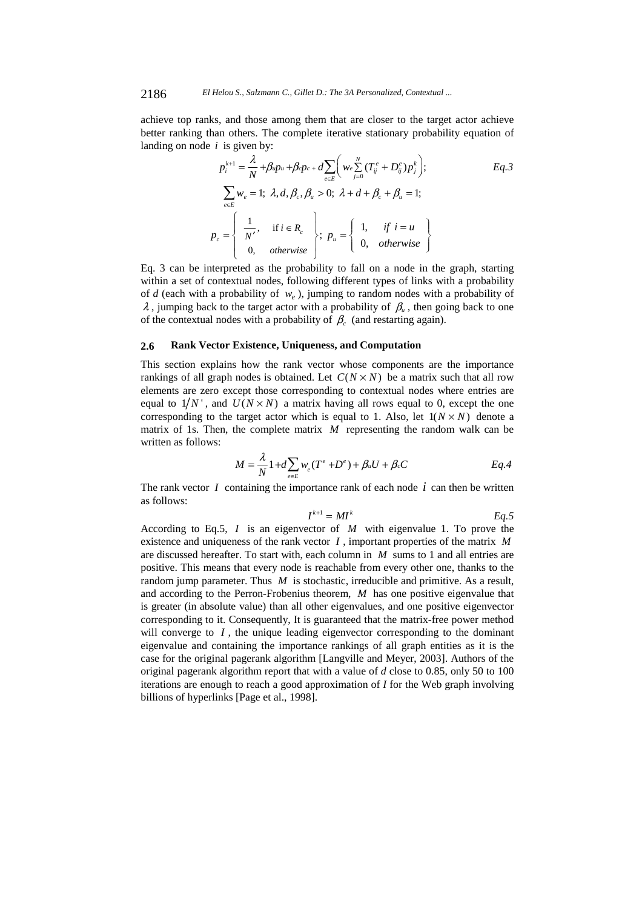achieve top ranks, and those among them that are closer to the target actor achieve better ranking than others. The complete iterative stationary probability equation of landing on node *i* is given by:

$$
p_i^{k+1} = \frac{\lambda}{N} + \beta u p_u + \beta c p_c + d \sum_{e \in E} \left( w_e \sum_{j=0}^N (T_{ij}^e + D_{ij}^e) p_j^k \right); \qquad Eq. 3
$$
  

$$
\sum_{e \in E} w_e = 1; \ \lambda, d, \beta_c, \beta_u > 0; \ \lambda + d + \beta_c + \beta_u = 1;
$$
  

$$
p_c = \begin{cases} \frac{1}{N'}, & \text{if } i \in R_c \\ 0, & \text{otherwise} \end{cases}; \ p_u = \begin{cases} 1, & \text{if } i = u \\ 0, & \text{otherwise} \end{cases}
$$

Eq. 3 can be interpreted as the probability to fall on a node in the graph, starting within a set of contextual nodes, following different types of links with a probability of *d* (each with a probability of  $w_e$ ), jumping to random nodes with a probability of  $\lambda$ , jumping back to the target actor with a probability of  $\beta$ <sub>u</sub>, then going back to one of the contextual nodes with a probability of  $\beta_c$  (and restarting again).

### **2.6 Rank Vector Existence, Uniqueness, and Computation**

This section explains how the rank vector whose components are the importance rankings of all graph nodes is obtained. Let  $C(N \times N)$  be a matrix such that all row elements are zero except those corresponding to contextual nodes where entries are equal to  $1/N$ , and  $U(N \times N)$  a matrix having all rows equal to 0, except the one corresponding to the target actor which is equal to 1. Also, let  $1(N \times N)$  denote a matrix of 1s. Then, the complete matrix *M* representing the random walk can be written as follows:

$$
M = \frac{\lambda}{N} 1 + d \sum_{e \in E} w_e (T^e + D^e) + \beta_u U + \beta_c C
$$
 Eq. 4

The rank vector *I* containing the importance rank of each node *i* can then be written as follows:

$$
I^{k+1} = MI^k \qquad \qquad Eq.5
$$

According to Eq.5, *I* is an eigenvector of *M* with eigenvalue 1. To prove the existence and uniqueness of the rank vector *I* , important properties of the matrix *M* are discussed hereafter. To start with, each column in *M* sums to 1 and all entries are positive. This means that every node is reachable from every other one, thanks to the random jump parameter. Thus *M* is stochastic, irreducible and primitive. As a result, and according to the Perron-Frobenius theorem, *M* has one positive eigenvalue that is greater (in absolute value) than all other eigenvalues, and one positive eigenvector corresponding to it. Consequently, It is guaranteed that the matrix-free power method will converge to  $I$ , the unique leading eigenvector corresponding to the dominant eigenvalue and containing the importance rankings of all graph entities as it is the case for the original pagerank algorithm [Langville and Meyer, 2003]. Authors of the original pagerank algorithm report that with a value of *d* close to 0.85, only 50 to 100 iterations are enough to reach a good approximation of *I* for the Web graph involving billions of hyperlinks [Page et al., 1998].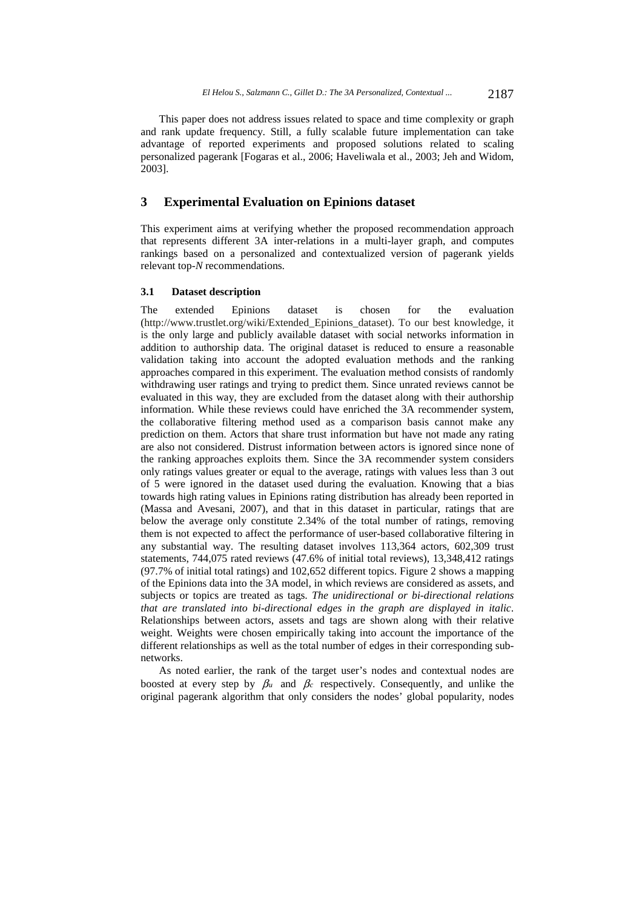This paper does not address issues related to space and time complexity or graph and rank update frequency. Still, a fully scalable future implementation can take advantage of reported experiments and proposed solutions related to scaling personalized pagerank [Fogaras et al., 2006; Haveliwala et al., 2003; Jeh and Widom, 2003].

### **3 Experimental Evaluation on Epinions dataset**

This experiment aims at verifying whether the proposed recommendation approach that represents different 3A inter-relations in a multi-layer graph, and computes rankings based on a personalized and contextualized version of pagerank yields relevant top-*N* recommendations.

### **3.1 Dataset description**

The extended Epinions dataset is chosen for the evaluation (http://www.trustlet.org/wiki/Extended\_Epinions\_dataset). To our best knowledge, it is the only large and publicly available dataset with social networks information in addition to authorship data. The original dataset is reduced to ensure a reasonable validation taking into account the adopted evaluation methods and the ranking approaches compared in this experiment. The evaluation method consists of randomly withdrawing user ratings and trying to predict them. Since unrated reviews cannot be evaluated in this way, they are excluded from the dataset along with their authorship information. While these reviews could have enriched the 3A recommender system, the collaborative filtering method used as a comparison basis cannot make any prediction on them. Actors that share trust information but have not made any rating are also not considered. Distrust information between actors is ignored since none of the ranking approaches exploits them. Since the 3A recommender system considers only ratings values greater or equal to the average, ratings with values less than 3 out of 5 were ignored in the dataset used during the evaluation. Knowing that a bias towards high rating values in Epinions rating distribution has already been reported in (Massa and Avesani, 2007), and that in this dataset in particular, ratings that are below the average only constitute 2.34% of the total number of ratings, removing them is not expected to affect the performance of user-based collaborative filtering in any substantial way. The resulting dataset involves 113,364 actors, 602,309 trust statements, 744,075 rated reviews (47.6% of initial total reviews), 13,348,412 ratings (97.7% of initial total ratings) and 102,652 different topics. Figure 2 shows a mapping of the Epinions data into the 3A model, in which reviews are considered as assets, and subjects or topics are treated as tags. *The unidirectional or bi-directional relations that are translated into bi-directional edges in the graph are displayed in italic*. Relationships between actors, assets and tags are shown along with their relative weight. Weights were chosen empirically taking into account the importance of the different relationships as well as the total number of edges in their corresponding subnetworks.

As noted earlier, the rank of the target user's nodes and contextual nodes are boosted at every step by  $\beta_u$  and  $\beta_c$  respectively. Consequently, and unlike the original pagerank algorithm that only considers the nodes' global popularity, nodes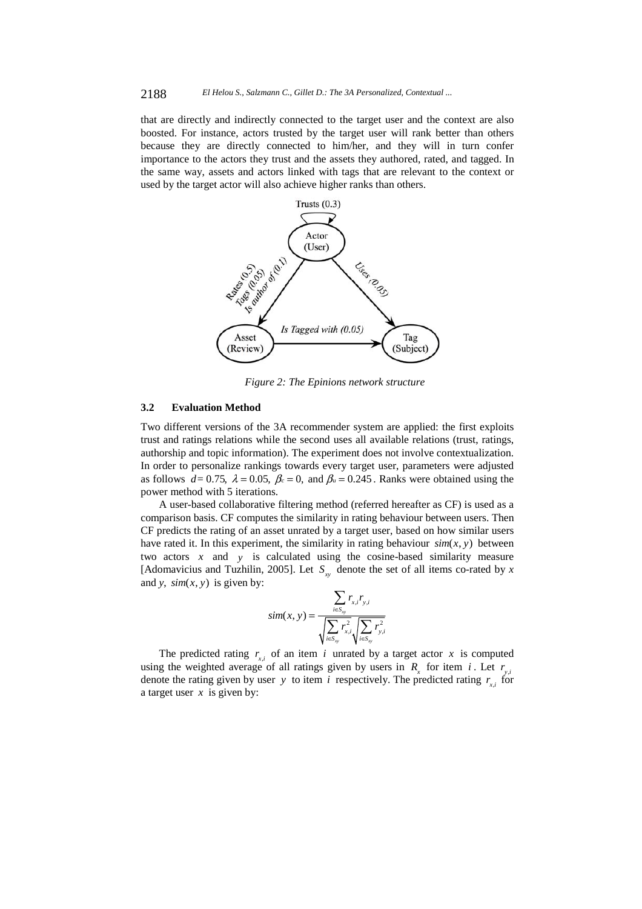that are directly and indirectly connected to the target user and the context are also boosted. For instance, actors trusted by the target user will rank better than others because they are directly connected to him/her, and they will in turn confer importance to the actors they trust and the assets they authored, rated, and tagged. In the same way, assets and actors linked with tags that are relevant to the context or used by the target actor will also achieve higher ranks than others.



*Figure 2: The Epinions network structure* 

### **3.2 Evaluation Method**

Two different versions of the 3A recommender system are applied: the first exploits trust and ratings relations while the second uses all available relations (trust, ratings, authorship and topic information). The experiment does not involve contextualization. In order to personalize rankings towards every target user, parameters were adjusted as follows  $d= 0.75$ ,  $\lambda = 0.05$ ,  $\beta_c = 0$ , and  $\beta_u = 0.245$ . Ranks were obtained using the power method with 5 iterations.

A user-based collaborative filtering method (referred hereafter as CF) is used as a comparison basis. CF computes the similarity in rating behaviour between users. Then CF predicts the rating of an asset unrated by a target user, based on how similar users have rated it. In this experiment, the similarity in rating behaviour  $sim(x, y)$  between two actors *x* and *y* is calculated using the cosine-based similarity measure [Adomavicius and Tuzhilin, 2005]. Let  $S_{xy}$  denote the set of all items co-rated by x and *y*,  $sim(x, y)$  is given by:

$$
sim(x, y) = \frac{\sum_{i \in S_{xy}} r_{x,i} r_{y,i}}{\sqrt{\sum_{i \in S_{xy}} r_{x,i}^2} \sqrt{\sum_{i \in S_{xy}} r_{y,i}^2}}
$$

The predicted rating  $r_{x,i}$  of an item *i* unrated by a target actor *x* is computed using the weighted average of all ratings given by users in  $R<sub>r</sub>$  for item *i*. Let  $r<sub>v,i</sub>$ denote the rating given by user *y* to item *i* respectively. The predicted rating  $r_{x,i}$  for a target user *x* is given by: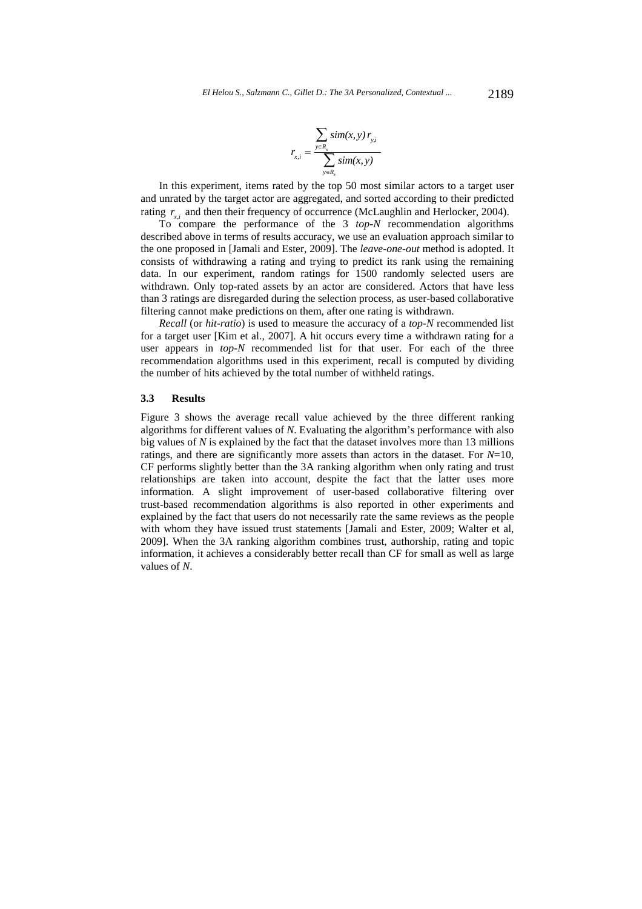$$
r_{x,i} = \frac{\sum_{y \in R_x} sim(x, y) r_{y,i}}{\sum_{y \in R_x} sim(x, y)}
$$

In this experiment, items rated by the top 50 most similar actors to a target user and unrated by the target actor are aggregated, and sorted according to their predicted rating  $r_{x,i}$  and then their frequency of occurrence (McLaughlin and Herlocker, 2004).

To compare the performance of the 3 *top-N* recommendation algorithms described above in terms of results accuracy, we use an evaluation approach similar to the one proposed in [Jamali and Ester, 2009]. The *leave-one-out* method is adopted. It consists of withdrawing a rating and trying to predict its rank using the remaining data. In our experiment, random ratings for 1500 randomly selected users are withdrawn. Only top-rated assets by an actor are considered. Actors that have less than 3 ratings are disregarded during the selection process, as user-based collaborative filtering cannot make predictions on them, after one rating is withdrawn.

*Recall* (or *hit-ratio*) is used to measure the accuracy of a *top-N* recommended list for a target user [Kim et al., 2007]. A hit occurs every time a withdrawn rating for a user appears in *top-N* recommended list for that user. For each of the three recommendation algorithms used in this experiment, recall is computed by dividing the number of hits achieved by the total number of withheld ratings.

### **3.3 Results**

Figure 3 shows the average recall value achieved by the three different ranking algorithms for different values of *N*. Evaluating the algorithm's performance with also big values of *N* is explained by the fact that the dataset involves more than 13 millions ratings, and there are significantly more assets than actors in the dataset. For *N*=10, CF performs slightly better than the 3A ranking algorithm when only rating and trust relationships are taken into account, despite the fact that the latter uses more information. A slight improvement of user-based collaborative filtering over trust-based recommendation algorithms is also reported in other experiments and explained by the fact that users do not necessarily rate the same reviews as the people with whom they have issued trust statements [Jamali and Ester, 2009; Walter et al, 2009]. When the 3A ranking algorithm combines trust, authorship, rating and topic information, it achieves a considerably better recall than CF for small as well as large values of *N*.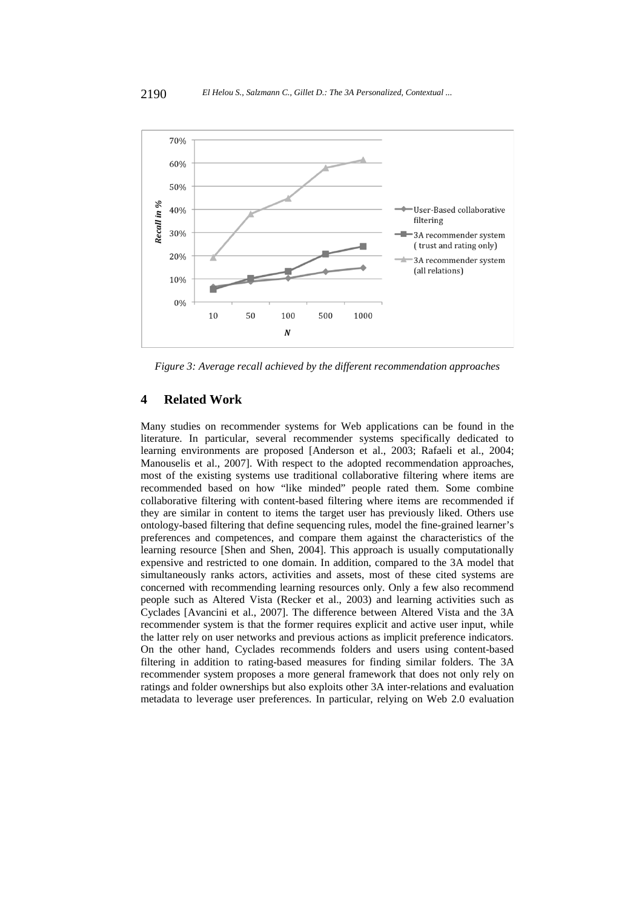

*Figure 3: Average recall achieved by the different recommendation approaches* 

# **4 Related Work**

Many studies on recommender systems for Web applications can be found in the literature. In particular, several recommender systems specifically dedicated to learning environments are proposed [Anderson et al., 2003; Rafaeli et al., 2004; Manouselis et al., 2007]. With respect to the adopted recommendation approaches, most of the existing systems use traditional collaborative filtering where items are recommended based on how "like minded" people rated them. Some combine collaborative filtering with content-based filtering where items are recommended if they are similar in content to items the target user has previously liked. Others use ontology-based filtering that define sequencing rules, model the fine-grained learner's preferences and competences, and compare them against the characteristics of the learning resource [Shen and Shen, 2004]. This approach is usually computationally expensive and restricted to one domain. In addition, compared to the 3A model that simultaneously ranks actors, activities and assets, most of these cited systems are concerned with recommending learning resources only. Only a few also recommend people such as Altered Vista (Recker et al., 2003) and learning activities such as Cyclades [Avancini et al., 2007]. The difference between Altered Vista and the 3A recommender system is that the former requires explicit and active user input, while the latter rely on user networks and previous actions as implicit preference indicators. On the other hand, Cyclades recommends folders and users using content-based filtering in addition to rating-based measures for finding similar folders. The 3A recommender system proposes a more general framework that does not only rely on ratings and folder ownerships but also exploits other 3A inter-relations and evaluation metadata to leverage user preferences. In particular, relying on Web 2.0 evaluation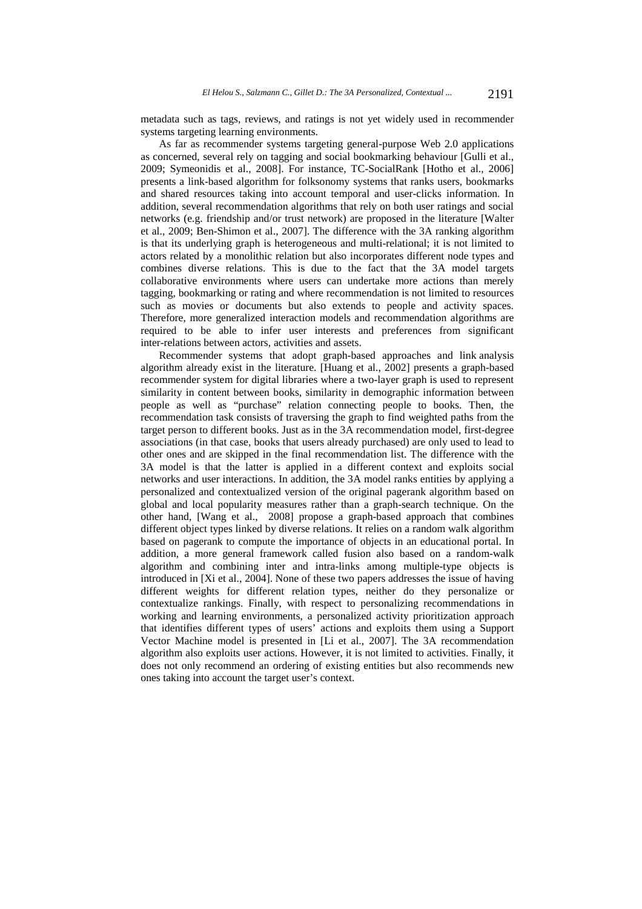metadata such as tags, reviews, and ratings is not yet widely used in recommender systems targeting learning environments.

As far as recommender systems targeting general-purpose Web 2.0 applications as concerned, several rely on tagging and social bookmarking behaviour [Gulli et al., 2009; Symeonidis et al., 2008]. For instance, TC-SocialRank [Hotho et al., 2006] presents a link-based algorithm for folksonomy systems that ranks users, bookmarks and shared resources taking into account temporal and user-clicks information. In addition, several recommendation algorithms that rely on both user ratings and social networks (e.g. friendship and/or trust network) are proposed in the literature [Walter et al., 2009; Ben-Shimon et al., 2007]. The difference with the 3A ranking algorithm is that its underlying graph is heterogeneous and multi-relational; it is not limited to actors related by a monolithic relation but also incorporates different node types and combines diverse relations. This is due to the fact that the 3A model targets collaborative environments where users can undertake more actions than merely tagging, bookmarking or rating and where recommendation is not limited to resources such as movies or documents but also extends to people and activity spaces. Therefore, more generalized interaction models and recommendation algorithms are required to be able to infer user interests and preferences from significant inter-relations between actors, activities and assets.

Recommender systems that adopt graph-based approaches and link analysis algorithm already exist in the literature. [Huang et al., 2002] presents a graph-based recommender system for digital libraries where a two-layer graph is used to represent similarity in content between books, similarity in demographic information between people as well as "purchase" relation connecting people to books. Then, the recommendation task consists of traversing the graph to find weighted paths from the target person to different books. Just as in the 3A recommendation model, first-degree associations (in that case, books that users already purchased) are only used to lead to other ones and are skipped in the final recommendation list. The difference with the 3A model is that the latter is applied in a different context and exploits social networks and user interactions. In addition, the 3A model ranks entities by applying a personalized and contextualized version of the original pagerank algorithm based on global and local popularity measures rather than a graph-search technique. On the other hand, [Wang et al., 2008] propose a graph-based approach that combines different object types linked by diverse relations. It relies on a random walk algorithm based on pagerank to compute the importance of objects in an educational portal. In addition, a more general framework called fusion also based on a random-walk algorithm and combining inter and intra-links among multiple-type objects is introduced in [Xi et al., 2004]. None of these two papers addresses the issue of having different weights for different relation types, neither do they personalize or contextualize rankings. Finally, with respect to personalizing recommendations in working and learning environments, a personalized activity prioritization approach that identifies different types of users' actions and exploits them using a Support Vector Machine model is presented in [Li et al., 2007]. The 3A recommendation algorithm also exploits user actions. However, it is not limited to activities. Finally, it does not only recommend an ordering of existing entities but also recommends new ones taking into account the target user's context.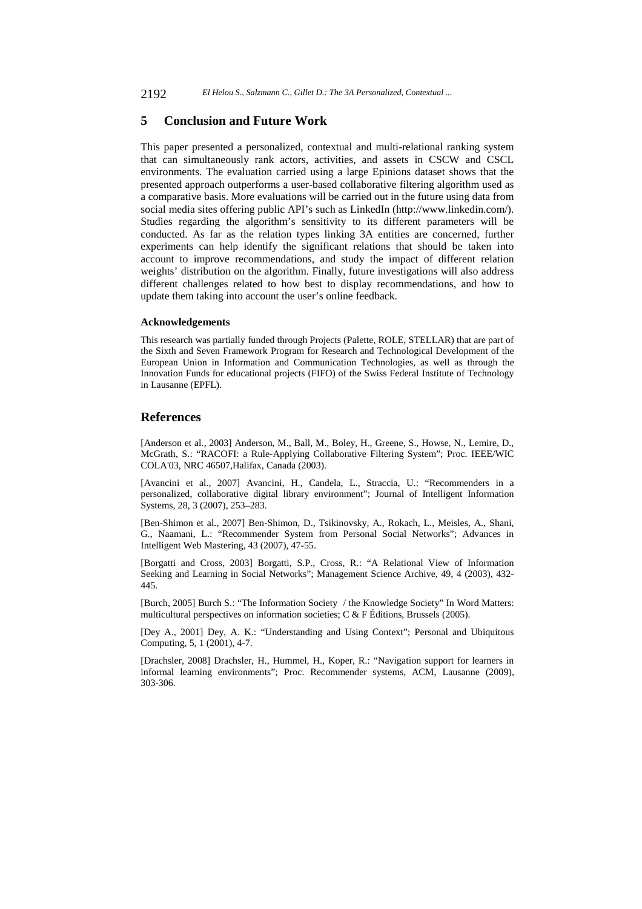### **5 Conclusion and Future Work**

This paper presented a personalized, contextual and multi-relational ranking system that can simultaneously rank actors, activities, and assets in CSCW and CSCL environments. The evaluation carried using a large Epinions dataset shows that the presented approach outperforms a user-based collaborative filtering algorithm used as a comparative basis. More evaluations will be carried out in the future using data from social media sites offering public API's such as LinkedIn (http://www.linkedin.com/). Studies regarding the algorithm's sensitivity to its different parameters will be conducted. As far as the relation types linking 3A entities are concerned, further experiments can help identify the significant relations that should be taken into account to improve recommendations, and study the impact of different relation weights' distribution on the algorithm. Finally, future investigations will also address different challenges related to how best to display recommendations, and how to update them taking into account the user's online feedback.

#### **Acknowledgements**

This research was partially funded through Projects (Palette, ROLE, STELLAR) that are part of the Sixth and Seven Framework Program for Research and Technological Development of the European Union in Information and Communication Technologies, as well as through the Innovation Funds for educational projects (FIFO) of the Swiss Federal Institute of Technology in Lausanne (EPFL).

### **References**

[Anderson et al., 2003] Anderson, M., Ball, M., Boley, H., Greene, S., Howse, N., Lemire, D., McGrath, S.: "RACOFI: a Rule-Applying Collaborative Filtering System"; Proc. IEEE/WIC COLA'03, NRC 46507,Halifax, Canada (2003).

[Avancini et al., 2007] Avancini, H., Candela, L., Straccia, U.: "Recommenders in a personalized, collaborative digital library environment"; Journal of Intelligent Information Systems, 28, 3 (2007), 253–283.

[Ben-Shimon et al., 2007] Ben-Shimon, D., Tsikinovsky, A., Rokach, L., Meisles, A., Shani, G., Naamani, L.: "Recommender System from Personal Social Networks"; Advances in Intelligent Web Mastering, 43 (2007), 47-55.

[Borgatti and Cross, 2003] Borgatti, S.P., Cross, R.: "A Relational View of Information Seeking and Learning in Social Networks"; Management Science Archive, 49, 4 (2003), 432- 445.

[Burch, 2005] Burch S.: "The Information Society / the Knowledge Society" In Word Matters: multicultural perspectives on information societies; C & F Éditions, Brussels (2005).

[Dey A., 2001] Dey, A. K.: "Understanding and Using Context"; Personal and Ubiquitous Computing, 5, 1 (2001), 4-7.

[Drachsler, 2008] Drachsler, H., Hummel, H., Koper, R.: "Navigation support for learners in informal learning environments"; Proc. Recommender systems, ACM, Lausanne (2009), 303-306.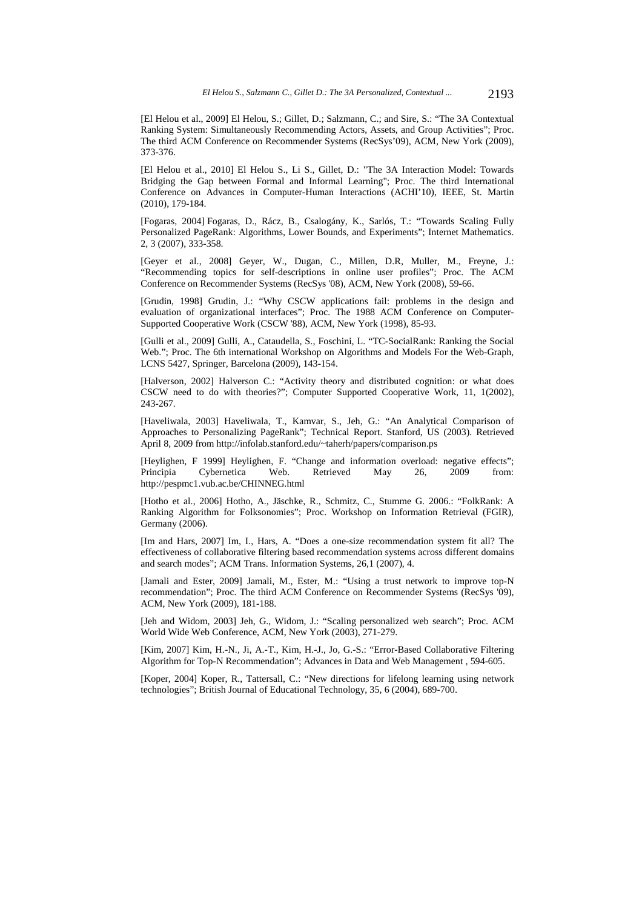[El Helou et al., 2009] El Helou, S.; Gillet, D.; Salzmann, C.; and Sire, S.: "The 3A Contextual Ranking System: Simultaneously Recommending Actors, Assets, and Group Activities"; Proc. The third ACM Conference on Recommender Systems (RecSys'09), ACM, New York (2009), 373-376.

[El Helou et al., 2010] El Helou S., Li S., Gillet, D.: "The 3A Interaction Model: Towards Bridging the Gap between Formal and Informal Learning"; Proc. The third International Conference on Advances in Computer-Human Interactions (ACHI'10), IEEE, St. Martin (2010), 179-184.

[Fogaras, 2004] Fogaras, D., Rácz, B., Csalogány, K., Sarlós, T.: "Towards Scaling Fully Personalized PageRank: Algorithms, Lower Bounds, and Experiments"; Internet Mathematics. 2, 3 (2007), 333-358.

[Geyer et al., 2008] Geyer, W., Dugan, C., Millen, D.R, Muller, M., Freyne, J.: "Recommending topics for self-descriptions in online user profiles"; Proc. The ACM Conference on Recommender Systems (RecSys '08), ACM, New York (2008), 59-66.

[Grudin, 1998] Grudin, J.: "Why CSCW applications fail: problems in the design and evaluation of organizational interfaces"; Proc. The 1988 ACM Conference on Computer-Supported Cooperative Work (CSCW '88), ACM, New York (1998), 85-93.

[Gulli et al., 2009] Gulli, A., Cataudella, S., Foschini, L. "TC-SocialRank: Ranking the Social Web."; Proc. The 6th international Workshop on Algorithms and Models For the Web-Graph, LCNS 5427, Springer, Barcelona (2009), 143-154.

[Halverson, 2002] Halverson C.: "Activity theory and distributed cognition: or what does CSCW need to do with theories?"; Computer Supported Cooperative Work, 11, 1(2002), 243-267.

[Haveliwala, 2003] Haveliwala, T., Kamvar, S., Jeh, G.: "An Analytical Comparison of Approaches to Personalizing PageRank"; Technical Report. Stanford, US (2003). Retrieved April 8, 2009 from http://infolab.stanford.edu/~taherh/papers/comparison.ps

[Heylighen, F 1999] Heylighen, F. "Change and information overload: negative effects"; Principia Cybernetica Web. Retrieved May 26, 2009 from: http://pespmc1.vub.ac.be/CHINNEG.html

[Hotho et al., 2006] Hotho, A., Jäschke, R., Schmitz, C., Stumme G. 2006.: "FolkRank: A Ranking Algorithm for Folksonomies"; Proc. Workshop on Information Retrieval (FGIR), Germany (2006).

[Im and Hars, 2007] Im, I., Hars, A. "Does a one-size recommendation system fit all? The effectiveness of collaborative filtering based recommendation systems across different domains and search modes"; ACM Trans. Information Systems, 26,1 (2007), 4.

[Jamali and Ester, 2009] Jamali, M., Ester, M.: "Using a trust network to improve top-N recommendation"; Proc. The third ACM Conference on Recommender Systems (RecSys '09), ACM, New York (2009), 181-188.

[Jeh and Widom, 2003] Jeh, G., Widom, J.: "Scaling personalized web search"; Proc. ACM World Wide Web Conference, ACM, New York (2003), 271-279.

[Kim, 2007] Kim, H.-N., Ji, A.-T., Kim, H.-J., Jo, G.-S.: "Error-Based Collaborative Filtering Algorithm for Top-N Recommendation"; Advances in Data and Web Management , 594-605.

[Koper, 2004] Koper, R., Tattersall, C.: "New directions for lifelong learning using network technologies"; British Journal of Educational Technology, 35, 6 (2004), 689-700.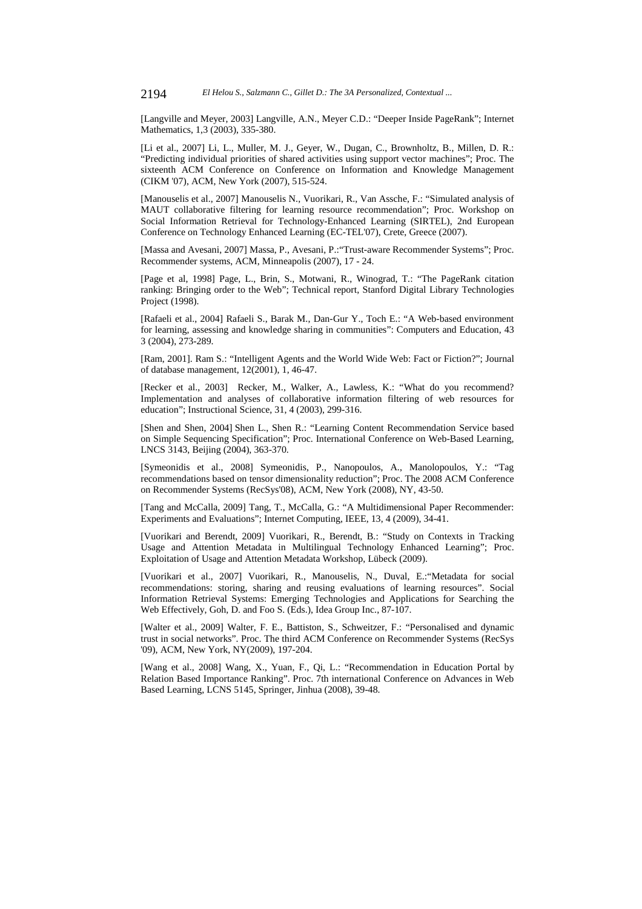[Langville and Meyer, 2003] Langville, A.N., Meyer C.D.: "Deeper Inside PageRank"; Internet Mathematics, 1,3 (2003), 335-380.

[Li et al., 2007] Li, L., Muller, M. J., Geyer, W., Dugan, C., Brownholtz, B., Millen, D. R.: "Predicting individual priorities of shared activities using support vector machines"; Proc. The sixteenth ACM Conference on Conference on Information and Knowledge Management (CIKM '07), ACM, New York (2007), 515-524.

[Manouselis et al., 2007] Manouselis N., Vuorikari, R., Van Assche, F.: "Simulated analysis of MAUT collaborative filtering for learning resource recommendation"; Proc. Workshop on Social Information Retrieval for Technology-Enhanced Learning (SIRTEL), 2nd European Conference on Technology Enhanced Learning (EC-TEL'07), Crete, Greece (2007).

[Massa and Avesani, 2007] Massa, P., Avesani, P.:"Trust-aware Recommender Systems"; Proc. Recommender systems, ACM, Minneapolis (2007), 17 - 24.

[Page et al, 1998] Page, L., Brin, S., Motwani, R., Winograd, T.: "The PageRank citation ranking: Bringing order to the Web"; Technical report, Stanford Digital Library Technologies Project (1998).

[Rafaeli et al., 2004] Rafaeli S., Barak M., Dan-Gur Y., Toch E.: "A Web-based environment for learning, assessing and knowledge sharing in communities": Computers and Education, 43 3 (2004), 273-289.

[Ram, 2001]. Ram S.: "Intelligent Agents and the World Wide Web: Fact or Fiction?"; Journal of database management, 12(2001), 1, 46-47.

[Recker et al., 2003] Recker, M., Walker, A., Lawless, K.: "What do you recommend? Implementation and analyses of collaborative information filtering of web resources for education"; Instructional Science, 31, 4 (2003), 299-316.

[Shen and Shen, 2004] Shen L., Shen R.: "Learning Content Recommendation Service based on Simple Sequencing Specification"; Proc. International Conference on Web-Based Learning, LNCS 3143, Beijing (2004), 363-370.

[Symeonidis et al., 2008] Symeonidis, P., Nanopoulos, A., Manolopoulos, Y.: "Tag recommendations based on tensor dimensionality reduction"; Proc. The 2008 ACM Conference on Recommender Systems (RecSys'08), ACM, New York (2008), NY, 43-50.

[Tang and McCalla, 2009] Tang, T., McCalla, G.: "A Multidimensional Paper Recommender: Experiments and Evaluations"; Internet Computing, IEEE, 13, 4 (2009), 34-41.

[Vuorikari and Berendt, 2009] Vuorikari, R., Berendt, B.: "Study on Contexts in Tracking Usage and Attention Metadata in Multilingual Technology Enhanced Learning"; Proc. Exploitation of Usage and Attention Metadata Workshop, Lübeck (2009).

[Vuorikari et al., 2007] Vuorikari, R., Manouselis, N., Duval, E.:"Metadata for social recommendations: storing, sharing and reusing evaluations of learning resources". Social Information Retrieval Systems: Emerging Technologies and Applications for Searching the Web Effectively, Goh, D. and Foo S. (Eds.), Idea Group Inc., 87-107.

[Walter et al., 2009] Walter, F. E., Battiston, S., Schweitzer, F.: "Personalised and dynamic trust in social networks". Proc. The third ACM Conference on Recommender Systems (RecSys '09), ACM, New York, NY(2009), 197-204.

[Wang et al., 2008] Wang, X., Yuan, F., Qi, L.: "Recommendation in Education Portal by Relation Based Importance Ranking". Proc. 7th international Conference on Advances in Web Based Learning, LCNS 5145, Springer, Jinhua (2008), 39-48.